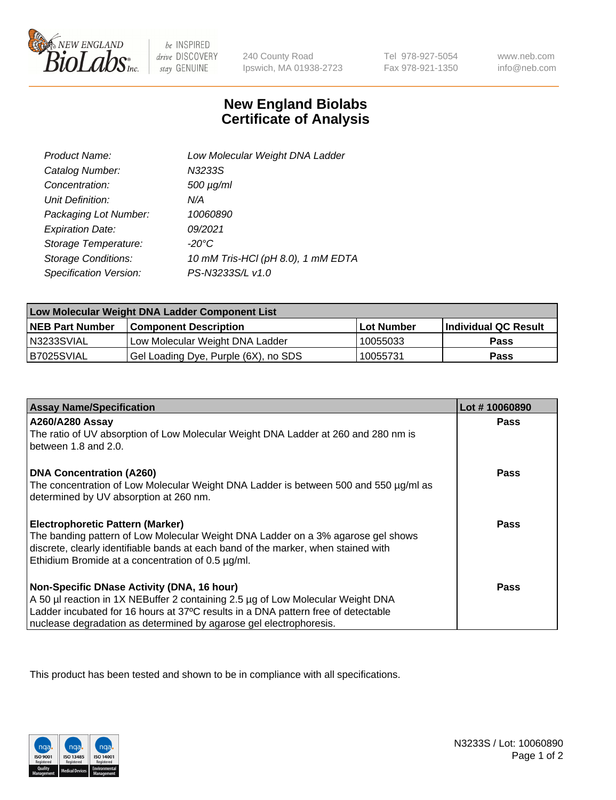

 $be$  INSPIRED drive DISCOVERY stay GENUINE

240 County Road Ipswich, MA 01938-2723

Tel 978-927-5054 Fax 978-921-1350

www.neb.com info@neb.com

## **New England Biolabs Certificate of Analysis**

| Product Name:              | Low Molecular Weight DNA Ladder    |
|----------------------------|------------------------------------|
| Catalog Number:            | N3233S                             |
| Concentration:             | 500 µg/ml                          |
| Unit Definition:           | N/A                                |
| Packaging Lot Number:      | 10060890                           |
| <b>Expiration Date:</b>    | 09/2021                            |
| Storage Temperature:       | $-20^{\circ}$ C                    |
| <b>Storage Conditions:</b> | 10 mM Tris-HCl (pH 8.0), 1 mM EDTA |
| Specification Version:     | PS-N3233S/L v1.0                   |

| Low Molecular Weight DNA Ladder Component List |                                      |            |                      |  |
|------------------------------------------------|--------------------------------------|------------|----------------------|--|
| <b>NEB Part Number</b>                         | <b>Component Description</b>         | Lot Number | Individual QC Result |  |
| N3233SVIAL                                     | Low Molecular Weight DNA Ladder      | 10055033   | <b>Pass</b>          |  |
| B7025SVIAL                                     | Gel Loading Dye, Purple (6X), no SDS | 10055731   | <b>Pass</b>          |  |

| <b>Assay Name/Specification</b>                                                                            | Lot #10060890 |
|------------------------------------------------------------------------------------------------------------|---------------|
| A260/A280 Assay                                                                                            | <b>Pass</b>   |
| The ratio of UV absorption of Low Molecular Weight DNA Ladder at 260 and 280 nm is<br>between 1.8 and 2.0. |               |
|                                                                                                            |               |
| <b>DNA Concentration (A260)</b>                                                                            | Pass          |
| The concentration of Low Molecular Weight DNA Ladder is between 500 and 550 µg/ml as                       |               |
| determined by UV absorption at 260 nm.                                                                     |               |
| <b>Electrophoretic Pattern (Marker)</b>                                                                    | Pass          |
| The banding pattern of Low Molecular Weight DNA Ladder on a 3% agarose gel shows                           |               |
| discrete, clearly identifiable bands at each band of the marker, when stained with                         |               |
| Ethidium Bromide at a concentration of 0.5 µg/ml.                                                          |               |
| Non-Specific DNase Activity (DNA, 16 hour)                                                                 | Pass          |
| A 50 µl reaction in 1X NEBuffer 2 containing 2.5 µg of Low Molecular Weight DNA                            |               |
| Ladder incubated for 16 hours at 37°C results in a DNA pattern free of detectable                          |               |
| nuclease degradation as determined by agarose gel electrophoresis.                                         |               |

This product has been tested and shown to be in compliance with all specifications.